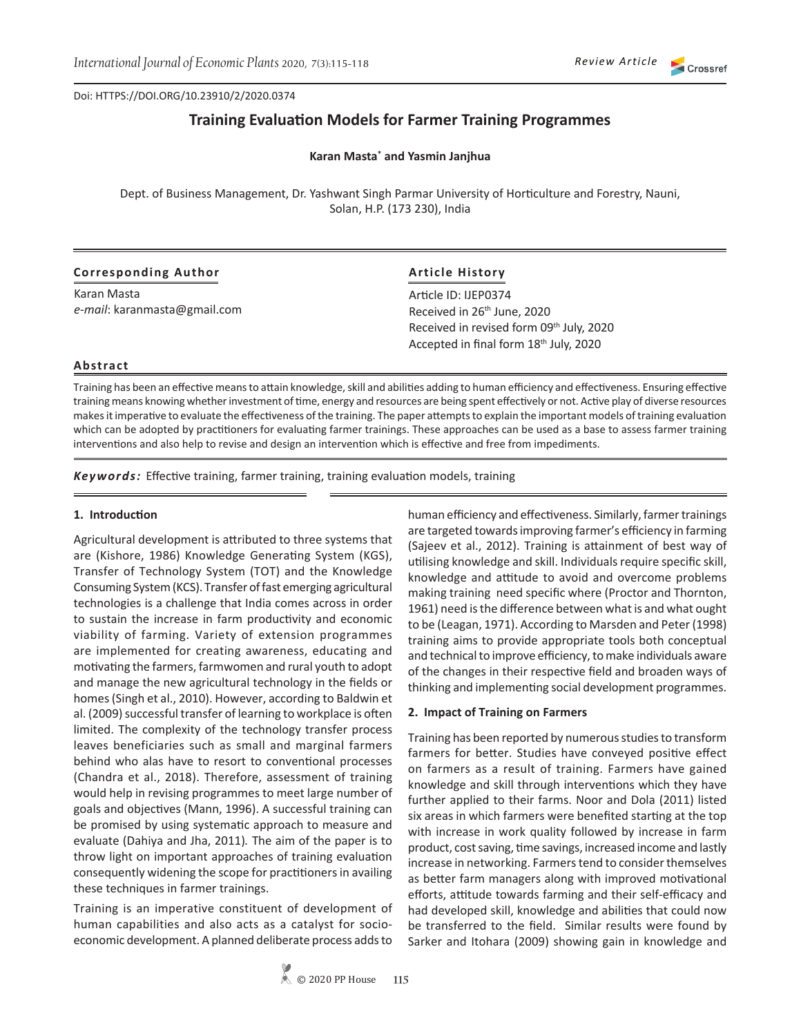Doi: HTTPS://DOI.ORG/10.23910/2/2020.0374

# **Training Evaluation Models for Farmer Training Programmes**

**Karan Masta\* and Yasmin Janjhua**

Dept. of Business Management, Dr. Yashwant Singh Parmar University of Horticulture and Forestry, Nauni, Solan, H.P. (173 230), India

## **Corresponding Author**

Karan Masta *e-mail*: karanmasta@gmail.com

## **Article History**

Article ID: IJEP0374 Received in 26th June, 2020 Received in revised form 09<sup>th</sup> July, 2020 Accepted in final form 18<sup>th</sup> July, 2020

#### **Abstract**

Training has been an effective means to attain knowledge, skill and abilities adding to human efficiency and effectiveness. Ensuring effective training means knowing whether investment of time, energy and resources are being spent effectively or not. Active play of diverse resources makes it imperative to evaluate the effectiveness of the training. The paper attempts to explain the important models of training evaluation which can be adopted by practitioners for evaluating farmer trainings. These approaches can be used as a base to assess farmer training interventions and also help to revise and design an intervention which is effective and free from impediments.

*Keywords:* Effective training, farmer training, training evaluation models, training

#### **1. Introduction**

Agricultural development is attributed to three systems that are (Kishore, 1986) Knowledge Generating System (KGS), Transfer of Technology System (TOT) and the Knowledge Consuming System (KCS). Transfer of fast emerging agricultural technologies is a challenge that India comes across in order to sustain the increase in farm productivity and economic viability of farming. Variety of extension programmes are implemented for creating awareness, educating and motivating the farmers, farmwomen and rural youth to adopt and manage the new agricultural technology in the fields or homes (Singh et al., 2010). However, according to Baldwin et al. (2009) successful transfer of learning to workplace is often limited. The complexity of the technology transfer process leaves beneficiaries such as small and marginal farmers behind who alas have to resort to conventional processes (Chandra et al., 2018). Therefore, assessment of training would help in revising programmes to meet large number of goals and objectives (Mann, 1996). A successful training can be promised by using systematic approach to measure and evaluate (Dahiya and Jha, 2011)*.* The aim of the paper is to throw light on important approaches of training evaluation consequently widening the scope for practitioners in availing these techniques in farmer trainings.

Training is an imperative constituent of development of human capabilities and also acts as a catalyst for socioeconomic development. A planned deliberate process adds to

human efficiency and effectiveness. Similarly, farmer trainings are targeted towards improving farmer's efficiency in farming (Sajeev et al., 2012). Training is attainment of best way of utilising knowledge and skill. Individuals require specific skill, knowledge and attitude to avoid and overcome problems making training need specific where (Proctor and Thornton, 1961) need is the difference between what is and what ought to be (Leagan, 1971). According to Marsden and Peter (1998) training aims to provide appropriate tools both conceptual and technical to improve efficiency, to make individuals aware of the changes in their respective field and broaden ways of thinking and implementing social development programmes.

#### **2. Impact of Training on Farmers**

Training has been reported by numerous studies to transform farmers for better. Studies have conveyed positive effect on farmers as a result of training. Farmers have gained knowledge and skill through interventions which they have further applied to their farms. Noor and Dola (2011) listed six areas in which farmers were benefited starting at the top with increase in work quality followed by increase in farm product, cost saving, time savings, increased income and lastly increase in networking. Farmers tend to consider themselves as better farm managers along with improved motivational efforts, attitude towards farming and their self-efficacy and had developed skill, knowledge and abilities that could now be transferred to the field. Similar results were found by Sarker and Itohara (2009) showing gain in knowledge and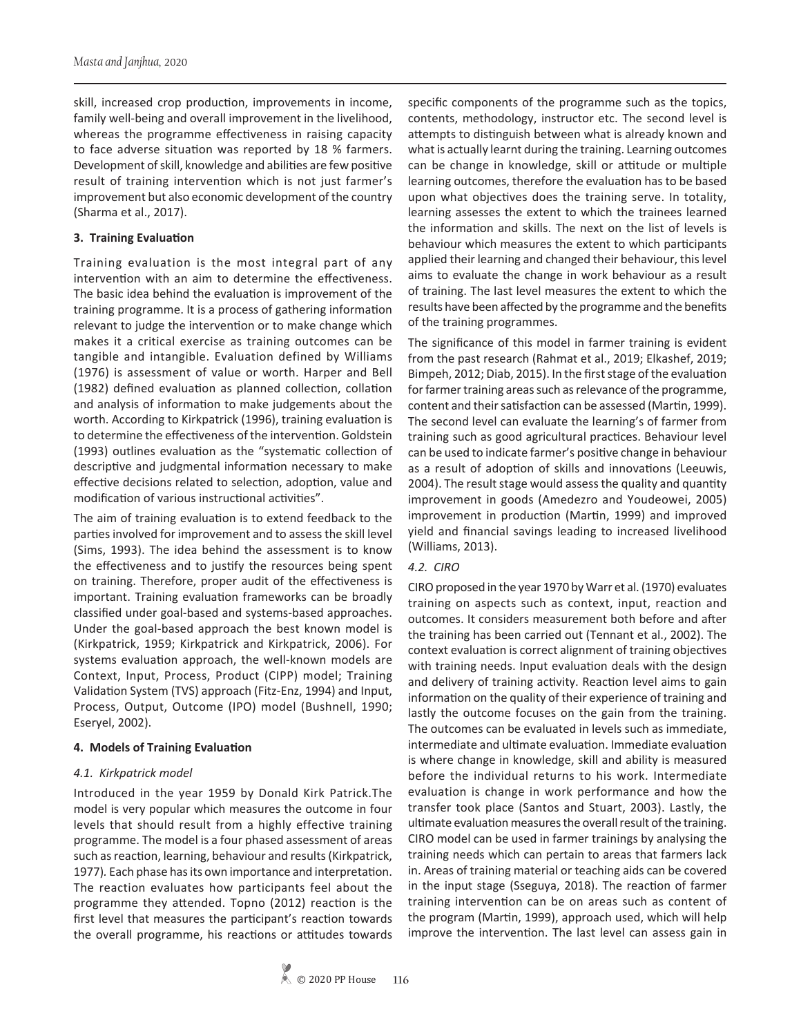skill, increased crop production, improvements in income, family well-being and overall improvement in the livelihood, whereas the programme effectiveness in raising capacity to face adverse situation was reported by 18 % farmers. Development of skill, knowledge and abilities are few positive result of training intervention which is not just farmer's improvement but also economic development of the country (Sharma et al., 2017).

#### **3. Training Evaluation**

Training evaluation is the most integral part of any intervention with an aim to determine the effectiveness. The basic idea behind the evaluation is improvement of the training programme. It is a process of gathering information relevant to judge the intervention or to make change which makes it a critical exercise as training outcomes can be tangible and intangible. Evaluation defined by Williams (1976) is assessment of value or worth. Harper and Bell (1982) defined evaluation as planned collection, collation and analysis of information to make judgements about the worth. According to Kirkpatrick (1996), training evaluation is to determine the effectiveness of the intervention. Goldstein (1993) outlines evaluation as the "systematic collection of descriptive and judgmental information necessary to make effective decisions related to selection, adoption, value and modification of various instructional activities".

The aim of training evaluation is to extend feedback to the parties involved for improvement and to assess the skill level (Sims, 1993). The idea behind the assessment is to know the effectiveness and to justify the resources being spent on training. Therefore, proper audit of the effectiveness is important. Training evaluation frameworks can be broadly classified under goal-based and systems-based approaches. Under the goal-based approach the best known model is (Kirkpatrick, 1959; Kirkpatrick and Kirkpatrick, 2006). For systems evaluation approach, the well-known models are Context, Input, Process, Product (CIPP) model; Training Validation System (TVS) approach (Fitz-Enz, 1994) and Input, Process, Output, Outcome (IPO) model (Bushnell, 1990; Eseryel, 2002).

### **4. Models of Training Evaluation**

### *4.1. Kirkpatrick model*

Introduced in the year 1959 by Donald Kirk Patrick.The model is very popular which measures the outcome in four levels that should result from a highly effective training programme. The model is a four phased assessment of areas such as reaction, learning, behaviour and results (Kirkpatrick, 1977)*.* Each phase has its own importance and interpretation. The reaction evaluates how participants feel about the programme they attended. Topno (2012) reaction is the first level that measures the participant's reaction towards the overall programme, his reactions or attitudes towards

specific components of the programme such as the topics, contents, methodology, instructor etc. The second level is attempts to distinguish between what is already known and what is actually learnt during the training. Learning outcomes can be change in knowledge, skill or attitude or multiple learning outcomes, therefore the evaluation has to be based upon what objectives does the training serve. In totality, learning assesses the extent to which the trainees learned the information and skills. The next on the list of levels is behaviour which measures the extent to which participants applied their learning and changed their behaviour, this level aims to evaluate the change in work behaviour as a result of training. The last level measures the extent to which the results have been affected by the programme and the benefits of the training programmes.

The significance of this model in farmer training is evident from the past research (Rahmat et al., 2019; Elkashef, 2019; Bimpeh, 2012; Diab, 2015). In the first stage of the evaluation for farmer training areas such as relevance of the programme, content and their satisfaction can be assessed (Martin, 1999). The second level can evaluate the learning's of farmer from training such as good agricultural practices. Behaviour level can be used to indicate farmer's positive change in behaviour as a result of adoption of skills and innovations (Leeuwis, 2004). The result stage would assess the quality and quantity improvement in goods (Amedezro and Youdeowei, 2005) improvement in production (Martin, 1999) and improved yield and financial savings leading to increased livelihood (Williams, 2013).

#### *4.2. CIRO*

CIRO proposed in the year 1970 by Warr et al. (1970) evaluates training on aspects such as context, input, reaction and outcomes. It considers measurement both before and after the training has been carried out (Tennant et al., 2002). The context evaluation is correct alignment of training objectives with training needs. Input evaluation deals with the design and delivery of training activity. Reaction level aims to gain information on the quality of their experience of training and lastly the outcome focuses on the gain from the training. The outcomes can be evaluated in levels such as immediate, intermediate and ultimate evaluation. Immediate evaluation is where change in knowledge, skill and ability is measured before the individual returns to his work. Intermediate evaluation is change in work performance and how the transfer took place (Santos and Stuart, 2003). Lastly, the ultimate evaluation measures the overall result of the training. CIRO model can be used in farmer trainings by analysing the training needs which can pertain to areas that farmers lack in. Areas of training material or teaching aids can be covered in the input stage (Sseguya, 2018). The reaction of farmer training intervention can be on areas such as content of the program (Martin, 1999), approach used, which will help improve the intervention. The last level can assess gain in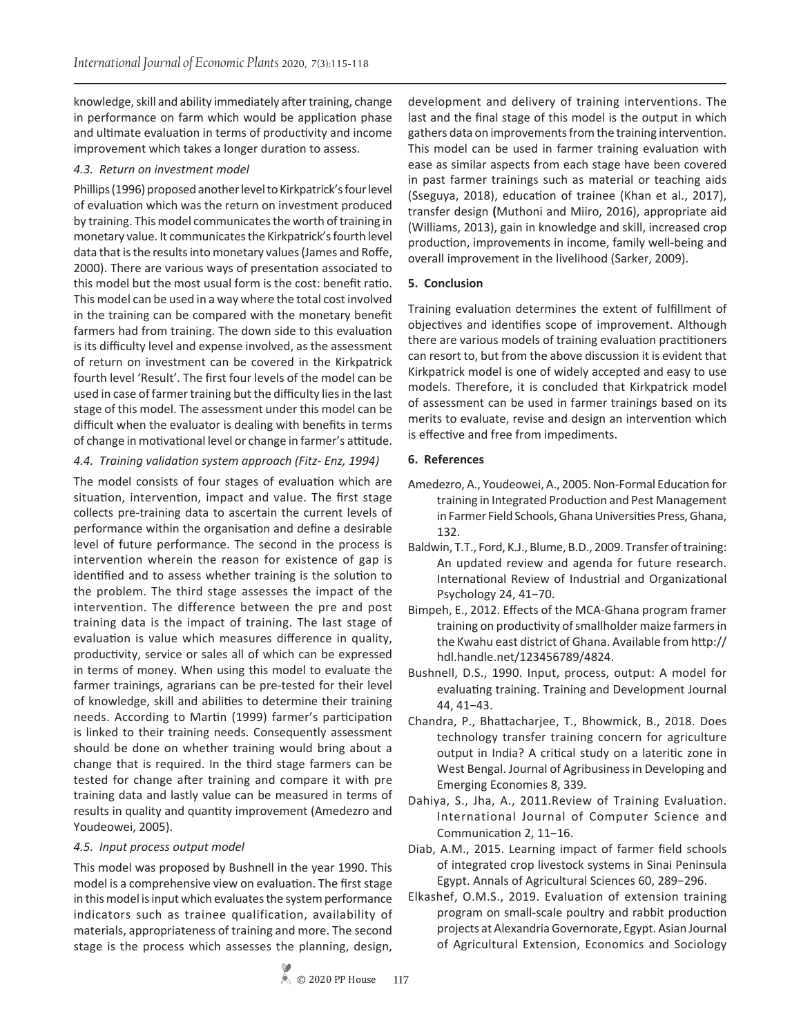knowledge, skill and ability immediately after training, change in performance on farm which would be application phase and ultimate evaluation in terms of productivity and income improvement which takes a longer duration to assess.

# *4.3. Return on investment model*

Phillips (1996) proposed another level to Kirkpatrick's four level of evaluation which was the return on investment produced by training. This model communicates the worth of training in monetary value. It communicates the Kirkpatrick's fourth level data that is the results into monetary values (James and Roffe, 2000). There are various ways of presentation associated to this model but the most usual form is the cost: benefit ratio. This model can be used in a way where the total cost involved in the training can be compared with the monetary benefit farmers had from training. The down side to this evaluation is its difficulty level and expense involved, as the assessment of return on investment can be covered in the Kirkpatrick fourth level 'Result'. The first four levels of the model can be used in case of farmer training but the difficulty lies in the last stage of this model. The assessment under this model can be difficult when the evaluator is dealing with benefits in terms of change in motivational level or change in farmer's attitude.

# *4.4. Training validation system approach (Fitz- Enz, 1994)*

The model consists of four stages of evaluation which are situation, intervention, impact and value. The first stage collects pre-training data to ascertain the current levels of performance within the organisation and define a desirable level of future performance. The second in the process is intervention wherein the reason for existence of gap is identified and to assess whether training is the solution to the problem. The third stage assesses the impact of the intervention. The difference between the pre and post training data is the impact of training. The last stage of evaluation is value which measures difference in quality, productivity, service or sales all of which can be expressed in terms of money. When using this model to evaluate the farmer trainings, agrarians can be pre-tested for their level of knowledge, skill and abilities to determine their training needs. According to Martin (1999) farmer's participation is linked to their training needs. Consequently assessment should be done on whether training would bring about a change that is required. In the third stage farmers can be tested for change after training and compare it with pre training data and lastly value can be measured in terms of results in quality and quantity improvement (Amedezro and Youdeowei, 2005).

### *4.5. Input process output model*

This model was proposed by Bushnell in the year 1990. This model is a comprehensive view on evaluation. The first stage in this model is input which evaluates the system performance indicators such as trainee qualification, availability of materials, appropriateness of training and more. The second stage is the process which assesses the planning, design,

development and delivery of training interventions. The last and the final stage of this model is the output in which gathers data on improvements from the training intervention. This model can be used in farmer training evaluation with ease as similar aspects from each stage have been covered in past farmer trainings such as material or teaching aids (Sseguya, 2018), education of trainee (Khan et al., 2017), transfer design **(**Muthoni and Miiro, 2016), appropriate aid (Williams, 2013), gain in knowledge and skill, increased crop production, improvements in income, family well-being and overall improvement in the livelihood (Sarker, 2009).

# **5. Conclusion**

Training evaluation determines the extent of fulfillment of objectives and identifies scope of improvement. Although there are various models of training evaluation practitioners can resort to, but from the above discussion it is evident that Kirkpatrick model is one of widely accepted and easy to use models. Therefore, it is concluded that Kirkpatrick model of assessment can be used in farmer trainings based on its merits to evaluate, revise and design an intervention which is effective and free from impediments.

# **6. References**

- Amedezro, A., Youdeowei, A., 2005. Non-Formal Education for training in Integrated Production and Pest Management in Farmer Field Schools, Ghana Universities Press, Ghana, 132.
- Baldwin, T.T., Ford, K.J., Blume, B.D., 2009. Transfer of training: An updated review and agenda for future research. International Review of Industrial and Organizational Psychology 24, 41−70.
- Bimpeh, E., 2012. Effects of the MCA-Ghana program framer training on productivity of smallholder maize farmers in the Kwahu east district of Ghana. Available from http:// hdl.handle.net/123456789/4824.
- Bushnell, D.S., 1990. Input, process, output: A model for evaluating training. Training and Development Journal 44, 41−43.
- Chandra, P., Bhattacharjee, T., Bhowmick, B., 2018. Does technology transfer training concern for agriculture output in India? A critical study on a lateritic zone in West Bengal. Journal of Agribusiness in Developing and Emerging Economies 8, 339.
- Dahiya, S., Jha, A., 2011.Review of Training Evaluation. International Journal of Computer Science and Communication 2, 11−16.
- Diab, A.M., 2015. Learning impact of farmer field schools of integrated crop livestock systems in Sinai Peninsula Egypt. Annals of Agricultural Sciences 60, 289−296.
- Elkashef, O.M.S., 2019. Evaluation of extension training program on small-scale poultry and rabbit production projects at Alexandria Governorate, Egypt. Asian Journal of Agricultural Extension, Economics and Sociology